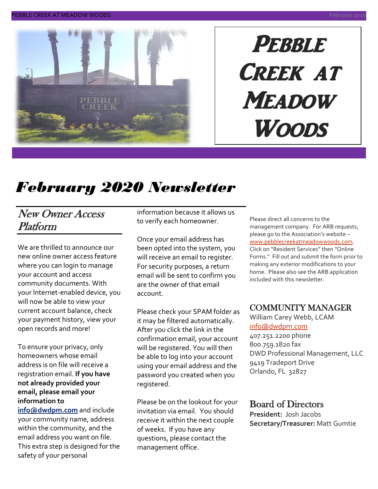

# PEBBLE Creek at **MEADOW Woods**

# *February 2020 Newsletter*

### New Owner Access Platform

We are thrilled to announce our new online owner access feature where you can login to manage your account and access community documents. With your Internet-enabled device, you will now be able to view your current account balance, check your payment history, view your open records and more!

To ensure your privacy, only homeowners whose email address is on file will receive a registration email. **If you have not already provided your email, please email your information to** 

**info@dwdpm.com** and include your community name, address within the community, and the email address you want on file. This extra step is designed for the safety of your personal

information because it allows us to verify each homeowner.

Once your email address has been opted into the system, you will receive an email to register. For security purposes, a return email will be sent to confirm you are the owner of that email account.

Please check your SPAM folder as it may be filtered automatically. After you click the link in the confirmation email, your account will be registered. You will then be able to log into your account using your email address and the password you created when you registered.

Please be on the lookout for your invitation via email. You should receive it within the next couple of weeks. If you have any questions, please contact the management office.

Please direct all concerns to the management company. For ARB requests, please go to the Association's website – [www.pebblecreekatmeadowwoods.com.](http://www.pebblecreekatmeadowwoods.com/) Click on "Resident Services" then "Online Forms." Fill out and submit the form prior to making any exterior modifications to your home. Please also see the ARB application included with this newsletter.

#### COMMUNITY MANAGER

William Carey Webb, LCAM [info@dwdpm.com](mailto:info@dwdpm.com)  407.251.2200 phone

800.759.1820 fax DWD Professional Management, LLC 9419 Tradeport Drive Orlando, FL 32827

#### Board of Directors

**President:** Josh Jacobs **Secretary/Treasurer:** Matt Gumtie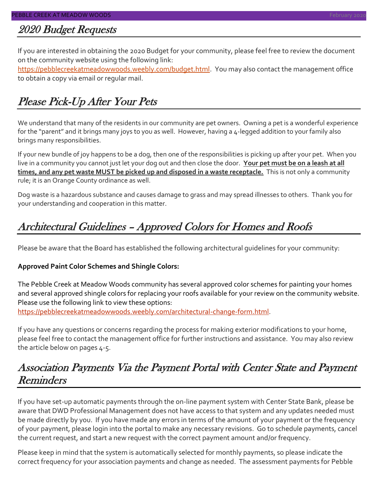### 2020 Budget Requests

If you are interested in obtaining the 2020 Budget for your community, please feel free to review the document on the community website using the following link:

https://pebblecreekatmeadowwoods.weebly.com/budget.html</u>. You may also contact the management office to obtain a copy via email or regular mail.

### Please Pick-Up After Your Pets

We understand that many of the residents in our community are pet owners. Owning a pet is a wonderful experience for the "parent" and it brings many joys to you as well. However, having a 4-legged addition to your family also brings many responsibilities.

If your new bundle of joy happens to be a dog, then one of the responsibilities is picking up after your pet. When you live in a community you cannot just let your dog out and then close the door. **Your pet must be on a leash at all times, and any pet waste MUST be picked up and disposed in a waste receptacle.** This is not only a community rule; it is an Orange County ordinance as well.

Dog waste is a hazardous substance and causes damage to grass and may spread illnesses to others. Thank you for your understanding and cooperation in this matter.

### Architectural Guidelines – Approved Colors for Homes and Roofs

Please be aware that the Board has established the following architectural guidelines for your community:

#### **Approved Paint Color Schemes and Shingle Colors:**

The Pebble Creek at Meadow Woods community has several approved color schemes for painting your homes and several approved shingle colors for replacing your roofs available for your review on the community website. Please use the following link to view these options: [https://pebblecreekatmeadowwoods.weebly.com/architectural-change-form.html.](https://pebblecreekatmeadowwoods.weebly.com/architectural-change-form.html)

If you have any questions or concerns regarding the process for making exterior modifications to your home, please feel free to contact the management office for further instructions and assistance. You may also review the article below on pages 4-5.

### Association Payments Via the Payment Portal with Center State and Payment **Reminders**

If you have set-up automatic payments through the on-line payment system with Center State Bank, please be aware that DWD Professional Management does not have access to that system and any updates needed must be made directly by you. If you have made any errors in terms of the amount of your payment or the frequency of your payment, please login into the portal to make any necessary revisions. Go to schedule payments, cancel the current request, and start a new request with the correct payment amount and/or frequency.

Please keep in mind that the system is automatically selected for monthly payments, so please indicate the correct frequency for your association payments and change as needed. The assessment payments for Pebble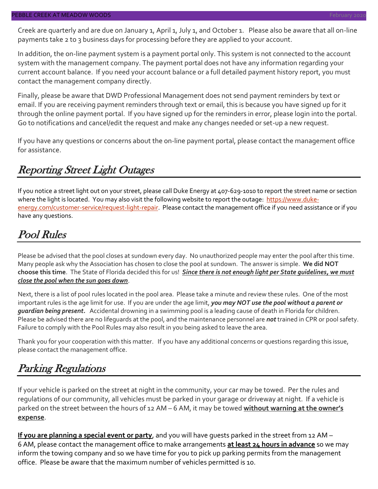Creek are quarterly and are due on January 1, April 1, July 1, and October 1. Please also be aware that all on-line payments take 2 to 3 business days for processing before they are applied to your account.

In addition, the on-line payment system is a payment portal only. This system is not connected to the account system with the management company. The payment portal does not have any information regarding your current account balance. If you need your account balance or a full detailed payment history report, you must contact the management company directly.

Finally, please be aware that DWD Professional Management does not send payment reminders by text or email. If you are receiving payment reminders through text or email, this is because you have signed up for it through the online payment portal. If you have signed up for the reminders in error, please login into the portal. Go to notifications and cancel/edit the request and make any changes needed or set-up a new request.

If you have any questions or concerns about the on-line payment portal, please contact the management office for assistance.

### Reporting Street Light Outages

If you notice a street light out on your street, please call Duke Energy at 407-629-1010 to report the street name or section where the light is located. You may also visit the following website to report the outage: [https://www.duke](https://www.duke-energy.com/customer-service/request-light-repair)[energy.com/customer-service/request-light-repair.](https://www.duke-energy.com/customer-service/request-light-repair) Please contact the management office if you need assistance or if you have any questions.

### Pool Rules

Please be advised that the pool closes at sundown every day. No unauthorized people may enter the pool after this time. Many people ask why the Association has chosen to close the pool at sundown. The answer is simple. **We did NOT choose this time**. The State of Florida decided this for us! *Since there is not enough light per State guidelines, we must close the pool when the sun goes down*.

Next, there is a list of pool rules located in the pool area. Please take a minute and review these rules. One of the most important rules is the age limit for use. If you are under the age limit, *you may NOT use the pool without a parent or guardian being present.* Accidental drowning in a swimming pool is a leading cause of death in Florida for children. Please be advised there are no lifeguards at the pool, and the maintenance personnel are *not* trained in CPR or pool safety. Failure to comply with the Pool Rules may also result in you being asked to leave the area.

Thank you for your cooperation with this matter. If you have any additional concerns or questions regarding this issue, please contact the management office.

### Parking Regulations

If your vehicle is parked on the street at night in the community, your car may be towed. Per the rules and regulations of our community, all vehicles must be parked in your garage or driveway at night. If a vehicle is parked on the street between the hours of 12 AM – 6 AM, it may be towed **without warning at the owner's expense**.

**If you are planning a special event or party**, and you will have guests parked in the street from 12 AM – 6 AM, please contact the management office to make arrangements **at least 24 hours in advance** so we may inform the towing company and so we have time for you to pick up parking permits from the management office. Please be aware that the maximum number of vehicles permitted is 10.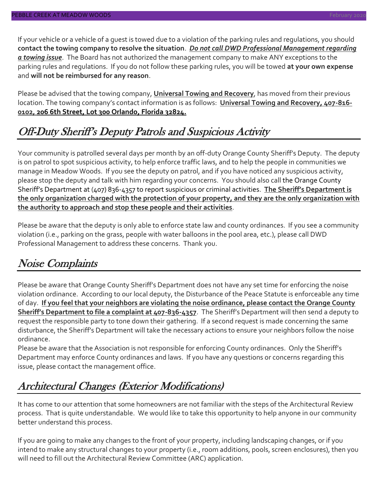If your vehicle or a vehicle of a guest is towed due to a violation of the parking rules and regulations, you should **contact the towing company to resolve the situation**. *Do not call DWD Professional Management regarding a towing issue*. The Board has not authorized the management company to make ANY exceptions to the parking rules and regulations. If you do not follow these parking rules, you will be towed **at your own expense** and **will not be reimbursed for any reason**.

Please be advised that the towing company, **Universal Towing and Recovery**, has moved from their previous location. The towing company's contact information is as follows: **Universal Towing and Recovery, 407-816- 0102, 206 6th Street, Lot 300 Orlando, Florida 32824.**

### Off-Duty Sheriff's Deputy Patrols and Suspicious Activity

Your community is patrolled several days per month by an off-duty Orange County Sheriff's Deputy. The deputy is on patrol to spot suspicious activity, to help enforce traffic laws, and to help the people in communities we manage in Meadow Woods. If you see the deputy on patrol, and if you have noticed any suspicious activity, please stop the deputy and talk with him regarding your concerns. You should also call the Orange County Sheriff's Department at (407) 836-4357 to report suspicious or criminal activities. **The Sheriff's Department is the only organization charged with the protection of your property, and they are the only organization with the authority to approach and stop these people and their activities**.

Please be aware that the deputy is only able to enforce state law and county ordinances. If you see a community violation (i.e., parking on the grass, people with water balloons in the pool area, etc.), please call DWD Professional Management to address these concerns. Thank you.

### Noise Complaints

Please be aware that Orange County Sheriff's Department does not have any set time for enforcing the noise violation ordinance. According to our local deputy, the Disturbance of the Peace Statute is enforceable any time of day. **If you feel that your neighbors are violating the noise ordinance, please contact the Orange County Sheriff's Department to file a complaint at 407-836-4357**. The Sheriff's Department will then send a deputy to request the responsible party to tone down their gathering. If a second request is made concerning the same disturbance, the Sheriff's Department will take the necessary actions to ensure your neighbors follow the noise ordinance.

Please be aware that the Association is not responsible for enforcing County ordinances. Only the Sheriff's Department may enforce County ordinances and laws. If you have any questions or concerns regarding this issue, please contact the management office.

### Architectural Changes (Exterior Modifications)

It has come to our attention that some homeowners are not familiar with the steps of the Architectural Review process. That is quite understandable. We would like to take this opportunity to help anyone in our community better understand this process.

If you are going to make any changes to the front of your property, including landscaping changes, or if you intend to make any structural changes to your property (i.e., room additions, pools, screen enclosures), then you will need to fill out the Architectural Review Committee (ARC) application.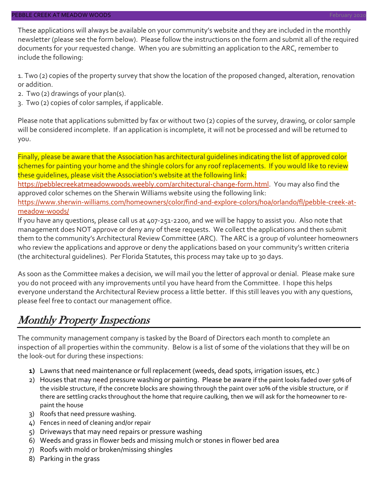These applications will always be available on your community's website and they are included in the monthly newsletter (please see the form below). Please follow the instructions on the form and submit all of the required documents for your requested change. When you are submitting an application to the ARC, remember to include the following:

1. Two (2) copies of the property survey that show the location of the proposed changed, alteration, renovation or addition.

- 2. Two (2) drawings of your plan(s).
- 3. Two (2) copies of color samples, if applicable.

Please note that applications submitted by fax or without two (2) copies of the survey, drawing, or color sample will be considered incomplete. If an application is incomplete, it will not be processed and will be returned to you.

Finally, please be aware that the Association has architectural guidelines indicating the list of approved color schemes for painting your home and the shingle colors for any roof replacements. If you would like to review these guidelines, please visit the Association's website at the following link:

[https://pebblecreekatmeadowwoods.weebly.com/architectural-change-form.html.](https://pebblecreekatmeadowwoods.weebly.com/architectural-change-form.html) You may also find the approved color schemes on the Sherwin Williams website using the following link:

[https://www.sherwin-williams.com/homeowners/color/find-and-explore-colors/hoa/orlando/fl/pebble-creek-at](https://www.sherwin-williams.com/homeowners/color/find-and-explore-colors/hoa/orlando/fl/pebble-creek-at-meadow-woods/)[meadow-woods/](https://www.sherwin-williams.com/homeowners/color/find-and-explore-colors/hoa/orlando/fl/pebble-creek-at-meadow-woods/)

If you have any questions, please call us at 407-251-2200, and we will be happy to assist you. Also note that management does NOT approve or deny any of these requests. We collect the applications and then submit them to the community's Architectural Review Committee (ARC). The ARC is a group of volunteer homeowners who review the applications and approve or deny the applications based on your community's written criteria (the architectural guidelines). Per Florida Statutes, this process may take up to 30 days.

As soon as the Committee makes a decision, we will mail you the letter of approval or denial. Please make sure you do not proceed with any improvements until you have heard from the Committee. I hope this helps everyone understand the Architectural Review process a little better. If this still leaves you with any questions, please feel free to contact our management office.

### Monthly Property Inspections

The community management company is tasked by the Board of Directors each month to complete an inspection of all properties within the community. Below is a list of some of the violations that they will be on the look-out for during these inspections:

- **1)** Lawns that need maintenance or full replacement (weeds, dead spots, irrigation issues, etc.)
- 2) Houses that may need pressure washing or painting. Please be aware if the paint looks faded over 50% of the visible structure, if the concrete blocks are showing through the paint over 10% of the visible structure, or if there are settling cracks throughout the home that require caulking, then we will ask for the homeowner to repaint the house
- 3) Roofs that need pressure washing.
- 4) Fences in need of cleaning and/or repair
- 5) Driveways that may need repairs or pressure washing
- 6) Weeds and grass in flower beds and missing mulch or stones in flower bed area
- 7) Roofs with mold or broken/missing shingles
- 8) Parking in the grass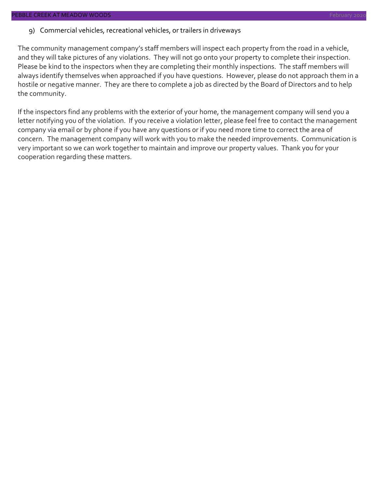#### 9) Commercial vehicles, recreational vehicles, or trailers in driveways

The community management company's staff members will inspect each property from the road in a vehicle, and they will take pictures of any violations. They will not go onto your property to complete their inspection. Please be kind to the inspectors when they are completing their monthly inspections. The staff members will always identify themselves when approached if you have questions. However, please do not approach them in a hostile or negative manner. They are there to complete a job as directed by the Board of Directors and to help the community.

If the inspectors find any problems with the exterior of your home, the management company will send you a letter notifying you of the violation. If you receive a violation letter, please feel free to contact the management company via email or by phone if you have any questions or if you need more time to correct the area of concern. The management company will work with you to make the needed improvements. Communication is very important so we can work together to maintain and improve our property values. Thank you for your cooperation regarding these matters.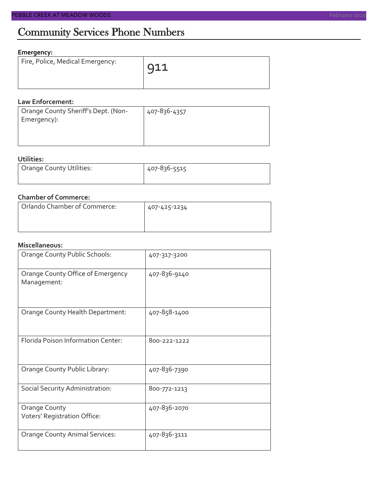#### **Emergency:**

| Fire, Police, Medical Emergency: | $Q11$ |
|----------------------------------|-------|
|                                  |       |

#### **Law Enforcement:**

| Orange County Sheriff's Dept. (Non- | 407-836-4357 |
|-------------------------------------|--------------|
| Emergency):                         |              |
|                                     |              |
|                                     |              |

#### **Utilities:**

| Orange County Utilities: | 407-836-5515 |  |  |
|--------------------------|--------------|--|--|
|                          |              |  |  |

#### **Chamber of Commerce:**

| Orlando Chamber of Commerce: | 407-425-1234 |  |  |
|------------------------------|--------------|--|--|
|                              |              |  |  |

#### **Miscellaneous:**

| Orange County Public Schools:                    | 407-317-3200 |  |
|--------------------------------------------------|--------------|--|
| Orange County Office of Emergency<br>Management: | 407-836-9140 |  |
| Orange County Health Department:                 | 407-858-1400 |  |
| Florida Poison Information Center:               | 800-222-1222 |  |
| Orange County Public Library:                    | 407-836-7390 |  |
| Social Security Administration:                  | 800-772-1213 |  |
| Orange County<br>Voters' Registration Office:    | 407-836-2070 |  |
| <b>Orange County Animal Services:</b>            | 407-836-3111 |  |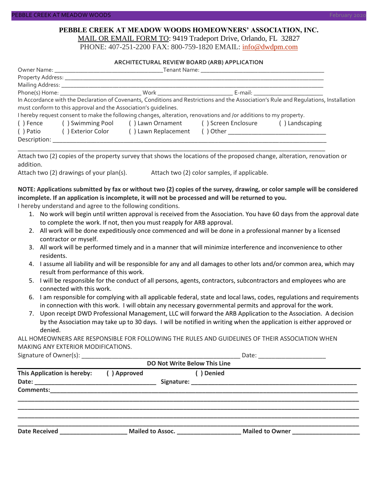#### **PEBBLE CREEK AT MEADOW WOODS HOMEOWNERS' ASSOCIATION, INC.** MAIL OR EMAIL FORM TO: 9419 Tradeport Drive, Orlando, FL 32827

PHONE: 407-251-2200 FAX: 800-759-1820 EMAIL: [info@dwdpm.com](mailto:info@dwdpm.com)

#### **ARCHITECTURAL REVIEW BOARD (ARB) APPLICATION**

|              | Tenant Name: The contract of the contract of the contract of the contract of the contract of the contract of the contract of the contract of the contract of the contract of the contract of the contract of the contract of t |                                                                                                                   |  |                                                                                                                                       |  |
|--------------|--------------------------------------------------------------------------------------------------------------------------------------------------------------------------------------------------------------------------------|-------------------------------------------------------------------------------------------------------------------|--|---------------------------------------------------------------------------------------------------------------------------------------|--|
|              |                                                                                                                                                                                                                                |                                                                                                                   |  |                                                                                                                                       |  |
|              | Mailing Address: ______________                                                                                                                                                                                                |                                                                                                                   |  |                                                                                                                                       |  |
|              |                                                                                                                                                                                                                                |                                                                                                                   |  |                                                                                                                                       |  |
|              |                                                                                                                                                                                                                                |                                                                                                                   |  | In Accordance with the Declaration of Covenants, Conditions and Restrictions and the Association's Rule and Requlations, Installation |  |
|              | must conform to this approval and the Association's quidelines.                                                                                                                                                                |                                                                                                                   |  |                                                                                                                                       |  |
|              |                                                                                                                                                                                                                                | I hereby request consent to make the following changes, alteration, renovations and /or additions to my property. |  |                                                                                                                                       |  |
| ( ) Fence    | () Swimming Pool () Lawn Ornament () Screen Enclosure                                                                                                                                                                          |                                                                                                                   |  | () Landscaping                                                                                                                        |  |
| ( ) Patio    | () Exterior Color                                                                                                                                                                                                              | () Lawn Replacement                                                                                               |  |                                                                                                                                       |  |
| Description: |                                                                                                                                                                                                                                |                                                                                                                   |  |                                                                                                                                       |  |

Attach two (2) copies of the property survey that shows the locations of the proposed change, alteration, renovation or addition.

\_\_\_\_\_\_\_\_\_\_\_\_\_\_\_\_\_\_\_\_\_\_\_\_\_\_\_\_\_\_\_\_\_\_\_\_\_\_\_\_\_\_\_\_\_\_\_\_\_\_\_\_\_\_\_\_\_\_\_\_\_\_\_\_\_\_\_\_\_\_\_\_\_\_\_\_\_\_\_\_\_\_\_\_\_\_\_\_\_\_\_

Attach two (2) drawings of your plan(s). Attach two (2) color samples, if applicable.

#### **NOTE: Applications submitted by fax or without two (2) copies of the survey, drawing, or color sample will be considered incomplete. If an application is incomplete, it will not be processed and will be returned to you.**

I hereby understand and agree to the following conditions.

- 1. No work will begin until written approval is received from the Association. You have 60 days from the approval date to complete the work. If not, then you must reapply for ARB approval.
- 2. All work will be done expeditiously once commenced and will be done in a professional manner by a licensed contractor or myself.
- 3. All work will be performed timely and in a manner that will minimize interference and inconvenience to other residents.
- 4. I assume all liability and will be responsible for any and all damages to other lots and/or common area, which may result from performance of this work.
- 5. I will be responsible for the conduct of all persons, agents, contractors, subcontractors and employees who are connected with this work.
- 6. I am responsible for complying with all applicable federal, state and local laws, codes, regulations and requirements in connection with this work. I will obtain any necessary governmental permits and approval for the work.
- 7. Upon receipt DWD Professional Management, LLC will forward the ARB Application to the Association. A decision by the Association may take up to 30 days. I will be notified in writing when the application is either approved or denied.

ALL HOMEOWNERS ARE RESPONSIBLE FOR FOLLOWING THE RULES AND GUIDELINES OF THEIR ASSOCIATION WHEN MAKING ANY EXTERIOR MODIFICATIONS.

Signature of Owner(s):  $\Box$ 

| <b>DO Not Write Below This Line</b> |             |                  |            |                        |  |
|-------------------------------------|-------------|------------------|------------|------------------------|--|
| This Application is hereby:         | () Approved |                  | ( ) Denied |                        |  |
| <b>Comments:</b>                    |             |                  |            |                        |  |
| <b>Date Received</b>                |             | Mailed to Assoc. |            | <b>Mailed to Owner</b> |  |